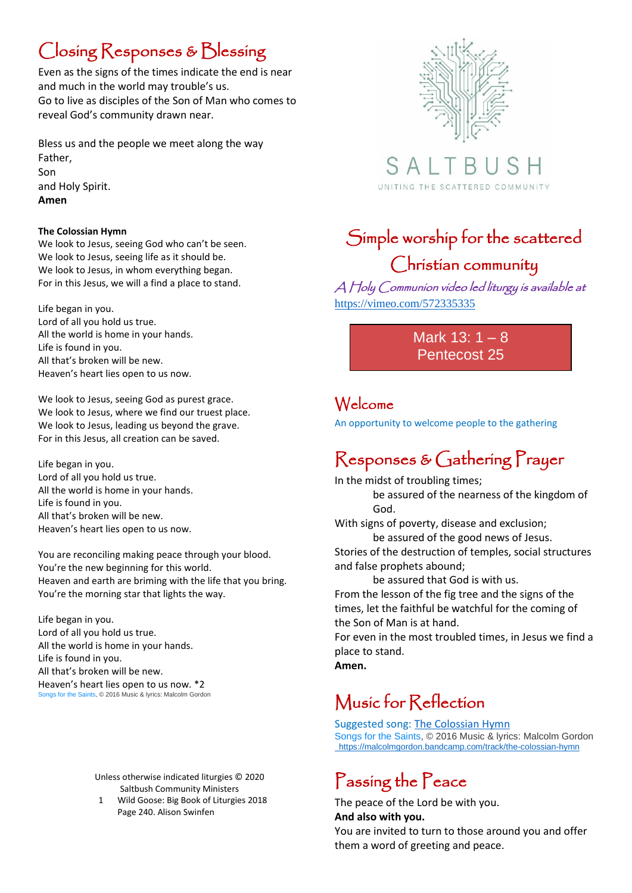## Closing Responses & Blessing

Even as the signs of the times indicate the end is near and much in the world may trouble's us. Go to live as disciples of the Son of Man who comes to reveal God's community drawn near.

Bless us and the people we meet along the way Father, Son and Holy Spirit. **Amen**

#### **The Colossian Hymn**

We look to Jesus, seeing God who can't be seen. We look to Jesus, seeing life as it should be. We look to Jesus, in whom everything began. For in this Jesus, we will a find a place to stand.

Life began in you. Lord of all you hold us true. All the world is home in your hands. Life is found in you. All that's broken will be new. Heaven's heart lies open to us now.

We look to Jesus, seeing God as purest grace. We look to Jesus, where we find our truest place. We look to Jesus, leading us beyond the grave. For in this Jesus, all creation can be saved.

Life began in you. Lord of all you hold us true. All the world is home in your hands. Life is found in you. All that's broken will be new. Heaven's heart lies open to us now.

You are reconciling making peace through your blood. You're the new beginning for this world. Heaven and earth are briming with the life that you bring. You're the morning star that lights the way.

Life began in you. Lord of all you hold us true. All the world is home in your hands. Life is found in you. All that's broken will be new. Heaven's heart lies open to us now. \*2 [Songs for the](https://malcolmgordon.bandcamp.com/album/songs-for-the-saints) Saints, © 2016 Music & lyrics: Malcolm Gordon

> Unless otherwise indicated liturgies © 2020 Saltbush Community Ministers

1 Wild Goose: Big Book of Liturgies 2018 Page 240. Alison Swinfen



SAL UNITING THE SCATTERED COMMUNITY

# Simple worship for the scattered

#### Christian community

A Holy Communion video led liturgy is available at <https://vimeo.com/572335335>

> Mark 13: 1 – 8 Pentecost 25

#### Welcome

An opportunity to welcome people to the gathering

#### Responses & Gathering Prayer

In the midst of troubling times; be assured of the nearness of the kingdom of God.

With signs of poverty, disease and exclusion; be assured of the good news of Jesus. Stories of the destruction of temples, social structures

and false prophets abound; be assured that God is with us. From the lesson of the fig tree and the signs of the times, let the faithful be watchful for the coming of the Son of Man is at hand.

For even in the most troubled times, in Jesus we find a place to stand.

**Amen.**

#### Music for Reflection

Suggested song: [The Colossian Hymn](https://malcolmgordon.bandcamp.com/track/the-colossian-hymn) [Songs for the Saints,](https://malcolmgordon.bandcamp.com/album/songs-for-the-saints) © 2016 Music & lyrics: Malcolm Gordon <https://malcolmgordon.bandcamp.com/track/the-colossian-hymn>

#### Passing the Peace

The peace of the Lord be with you. **And also with you.**

You are invited to turn to those around you and offer them a word of greeting and peace.